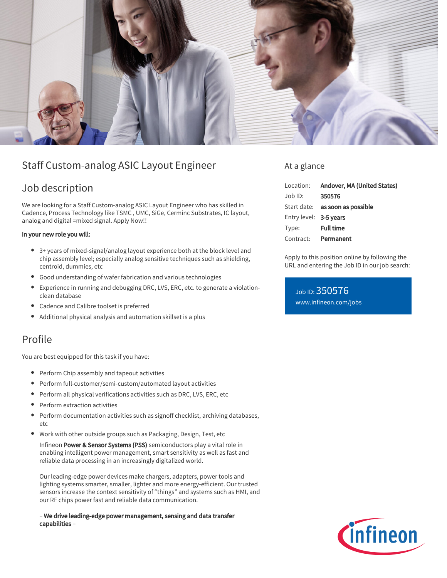

# Staff Custom-analog ASIC Layout Engineer

# Job description

We are looking for a Staff Custom-analog ASIC Layout Engineer who has skilled in Cadence, Process Technology like TSMC , UMC, SiGe, Cerminc Substrates, IC layout, analog and digital =mixed signal. Apply Now!!

### In your new role you will:

- 3+ years of mixed-signal/analog layout experience both at the block level and chip assembly level; especially analog sensitive techniques such as shielding, centroid, dummies, etc
- Good understanding of wafer fabrication and various technologies
- Experience in running and debugging DRC, LVS, ERC, etc. to generate a violationclean database
- Cadence and Calibre toolset is preferred
- Additional physical analysis and automation skillset is a plus

## Profile

You are best equipped for this task if you have:

- Perform Chip assembly and tapeout activities
- Perform full-customer/semi-custom/automated layout activities
- Perform all physical verifications activities such as DRC, LVS, ERC, etc
- Perform extraction activities
- $\bullet$ Perform documentation activities such as signoff checklist, archiving databases, etc
- Work with other outside groups such as Packaging, Design, Test, etc

Infineon Power & Sensor Systems (PSS) semiconductors play a vital role in enabling intelligent power management, smart sensitivity as well as fast and reliable data processing in an increasingly digitalized world.

Our leading-edge power devices make chargers, adapters, power tools and lighting systems smarter, smaller, lighter and more energy-efficient. Our trusted sensors increase the context sensitivity of "things" and systems such as HMI, and our RF chips power fast and reliable data communication.

– We drive leading-edge power management, sensing and data transfer capabilities –

## At a glance

| Location:              | Andover, MA (United States)     |
|------------------------|---------------------------------|
| $Job$ ID:              | 350576                          |
|                        | Start date: as soon as possible |
| Entry level: 3-5 years |                                 |
| Type:                  | <b>Full time</b>                |
| Contract:              | Permanent                       |

Apply to this position online by following the URL and entering the Job ID in our job search:

Job ID: 350576 [www.infineon.com/jobs](https://www.infineon.com/jobs)